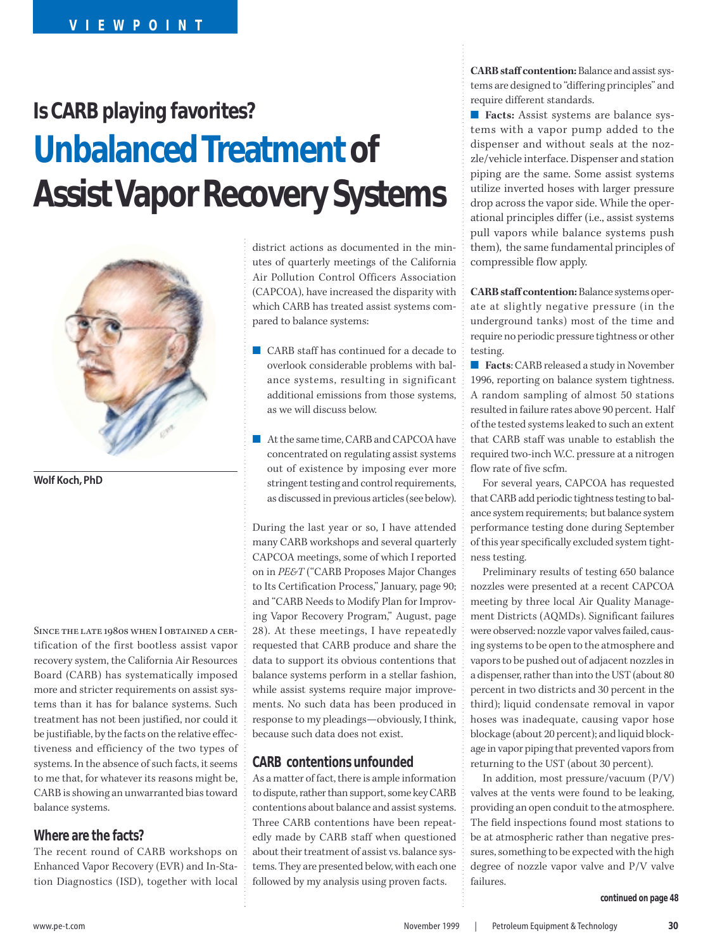# **Is CARB playing favorites? Unbalanced Treatment of Assist Vapor Recovery Systems**



**Wolf Koch, PhD**

Since the late 1980s when I obtained a certification of the first bootless assist vapor recovery system, the California Air Resources Board (CARB) has systematically imposed more and stricter requirements on assist systems than it has for balance systems. Such treatment has not been justified, nor could it be justifiable, by the facts on the relative effectiveness and efficiency of the two types of systems. In the absence of such facts, it seems to me that, for whatever its reasons might be, CARB is showing an unwarranted bias toward balance systems.

#### **Where are the facts?**

The recent round of CARB workshops on Enhanced Vapor Recovery (EVR) and In-Station Diagnostics (ISD), together with local district actions as documented in the minutes of quarterly meetings of the California Air Pollution Control Officers Association (CAPCOA), have increased the disparity with which CARB has treated assist systems compared to balance systems:

- CARB staff has continued for a decade to overlook considerable problems with balance systems, resulting in significant additional emissions from those systems, as we will discuss below.
- At the same time, CARB and CAPCOA have concentrated on regulating assist systems out of existence by imposing ever more stringent testing and control requirements, as discussed in previous articles (see below).

During the last year or so, I have attended many CARB workshops and several quarterly CAPCOA meetings, some of which I reported on in *PE&T* ("CARB Proposes Major Changes to Its Certification Process," January, page 90; and "CARB Needs to Modify Plan for Improving Vapor Recovery Program," August, page 28). At these meetings, I have repeatedly requested that CARB produce and share the data to support its obvious contentions that balance systems perform in a stellar fashion, while assist systems require major improvements. No such data has been produced in response to my pleadings—obviously, I think, because such data does not exist.

## **CARB contentions unfounded**

As a matter of fact, there is ample information to dispute, rather than support, some key CARB contentions about balance and assist systems. Three CARB contentions have been repeatedly made by CARB staff when questioned about their treatment of assist vs. balance systems. They are presented below, with each one followed by my analysis using proven facts.

**CARB staff contention:** Balance and assist systems are designed to "differing principles" and require different standards.

■ **Facts:** Assist systems are balance systems with a vapor pump added to the dispenser and without seals at the nozzle/vehicle interface. Dispenser and station piping are the same. Some assist systems utilize inverted hoses with larger pressure drop across the vapor side. While the operational principles differ (i.e., assist systems pull vapors while balance systems push them), the same fundamental principles of compressible flow apply.

**CARB staff contention:** Balance systems operate at slightly negative pressure (in the underground tanks) most of the time and require no periodic pressure tightness or other testing.

■ **Facts**: CARB released a study in November 1996, reporting on balance system tightness. A random sampling of almost 50 stations resulted in failure rates above 90 percent. Half of the tested systems leaked to such an extent that CARB staff was unable to establish the required two-inch W.C. pressure at a nitrogen flow rate of five scfm.

For several years, CAPCOA has requested that CARB add periodic tightness testing to balance system requirements; but balance system performance testing done during September of this year specifically excluded system tightness testing.

Preliminary results of testing 650 balance nozzles were presented at a recent CAPCOA meeting by three local Air Quality Management Districts (AQMDs). Significant failures were observed: nozzle vapor valves failed, causing systems to be open to the atmosphere and vapors to be pushed out of adjacent nozzles in a dispenser, rather than into the UST (about 80 percent in two districts and 30 percent in the third); liquid condensate removal in vapor hoses was inadequate, causing vapor hose blockage (about 20 percent); and liquid blockage in vapor piping that prevented vapors from returning to the UST (about 30 percent).

In addition, most pressure/vacuum (P/V) valves at the vents were found to be leaking, providing an open conduit to the atmosphere. The field inspections found most stations to be at atmospheric rather than negative pressures, something to be expected with the high degree of nozzle vapor valve and P/V valve failures.

**continued on page 48**